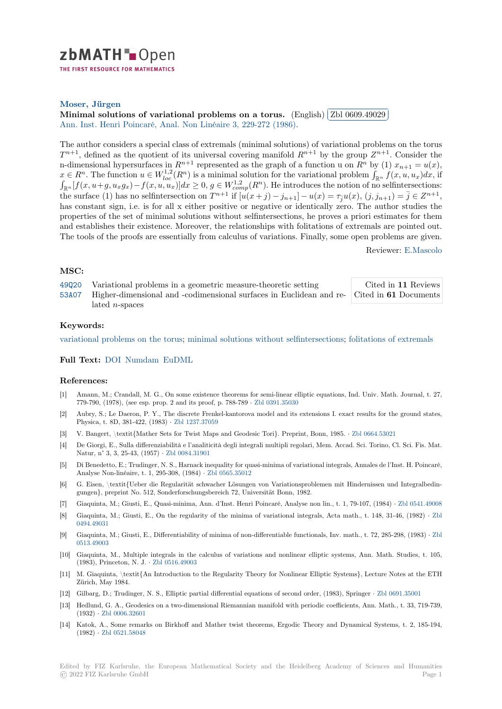

THE FIRST RESOURCE FOR MATHEMATICS

## **Moser, Jürgen**

**[M](https://zbmath.org/)inimal solutions of variational problems on a torus.** (English) ✄ ✂ Zbl 0609.49029 Ann. Inst. Henri Poincaré, Anal. Non Linéaire 3, 229-272 (1986).

[The author consi](https://zbmath.org/authors/?q=ai:moser.jurgen-k)ders a special class of extremals (minimal solutions) of variational problems on the torus  $T^{n+1}$ [, defined as the quotient of its universal covering manifo](https://zbmath.org/0609.49029)ld  $R^{n+1}$  b[y the group](https://zbmath.org/0609.49029)  $Z^{n+1}$ . Consider the [n-dimensional hypersurfaces in](https://zbmath.org/journals/?q=se:1008)  $R^{n+1}$  represent[ed as the graph of](https://zbmath.org/?q=in:151801) a function u on  $R^n$  by (1)  $x_{n+1} = u(x)$ ,  $x \in R^n$ . The function  $u \in W_{loc}^{1,2}(R^n)$  is a minimal solution for the variational problem  $\int_{\mathbb{R}^n} f(x, u, u_x) dx$ , if  $\int_{\mathbb{R}^n} [f(x, u+g, u_xg_x) - f(x, u, u_x)] dx \ge 0$ ,  $g \in W_{comp}^{1,2}(R^n)$ . He introduces the notion of no selfinters the surface (1) has no selfintersection on  $T^{n+1}$  if  $[u(x+j)-j_{n+1}]-u(x)=\tau_ju(x), (j, j_{n+1})=\overline{j} \in Z^{n+1}$ , has constant sign, i.e. is for all x either positive or negative or identically zero. The author studies the properties of the set of minimal solutions without selfintersections, he proves a priori estimates for them and establishes their existence. Moreover, the relationships with folitations of extremals are pointed out. The tools of the proofs are essentially from calculus of variations. Finally, some open problems are given.

Reviewer: E.Mascolo

l. ✁

## **MSC:**

| 49020 | Variational problems in a geometric measure-theoretic setting                                    | Cited in 11 Reviews |
|-------|--------------------------------------------------------------------------------------------------|---------------------|
|       | 53.407 Higher-dimensional and -codimensional surfaces in Euclidean and re- Cited in 61 Documents |                     |
|       | $\lambda$ ated <i>n</i> -spaces                                                                  |                     |

## **[Keyw](https://zbmath.org/classification/?q=cc:49Q20)ords:**

[variati](https://zbmath.org/classification/?q=cc:53A07)onal problems on the torus; minimal solutions without selfintersections; f[olitations of extremals](https://zbmath.org/?q=rf:0609.49029|3986049)

**Full Text:** DOI Numdam EuDML

## **[References:](https://zbmath.org/?q=ut:variational+problems+on+the+torus)**

- [1] Amann, M.; Crandall, M. G., On some existence theorems for semi-linear elliptic equations, Ind. Univ. Math. Journal, t. 27, 779-790, [\(1978\)](https://dx.doi.org/10.1016/S0294-1449(16)30387-0), [\(see esp. pro](http://www.numdam.org/item?id=AIHPC_1986__3_3_229_0)[p. 2 and it](https://eudml.org/doc/78113)s proof, p. 788‐789 *·* Zbl 0391.35030
- [2] Aubry, S.; Le Daeron, P. Y., The discrete Frenkel-kantorova model and its extensions I. exact results for the ground states, Physica, t. 8D, 381-422, (1983) *·* Zbl 1237.37059
- [3] V. Bangert, \textit{Mather Sets for Twist Maps and Geodesic Tori}. Preprint, Bonn, 1985. *·* Zbl 0664.53021
- [4] De Giorgi, E., Sulla differenziabilità e l'analiticità degli integ[rali multipli reg](https://zbmath.org/0391.35030)olari, Mem. Accad. Sci. Torino, Cl. Sci. Fis. Mat. Natur, n° 3, 3, 25-43, (1957) *·* Zbl 0084.31901
- [5] Di Benedetto, E.; Trudinger, N.S[., Harnack inequ](https://zbmath.org/1237.37059)ality for quasi-minima of variational integrals, Annales de l'Inst. H. Poincaré, Analyse Non-linéaire, t. 1, 295-308, (1984) *·* Zbl 0565.35012
- [6] G. Eisen, \textit{Ueber die Regularität schwacher Lösungen von Variationsproblemen mit Hindernissen und Integralbedingungen}, preprint No. 512, So[nderforschungsb](https://zbmath.org/0084.31901)ereich 72, Universität Bonn, 1982.
- [7] Giaquinta, M.; Giusti, E., Quasi-minima, Ann. d'Inst. Henri Poincaré, Analyse non lin., t. 1, 79-107, (1984) *·* Zbl 0541.49008
- [8] Giaquinta, M.; Giusti, E., On the regularit[y of the minima](https://zbmath.org/0565.35012) of variational integrals, Acta math., t. 148, 31-46, (1982) *·* Zbl 0494.49031
- [9] Giaquinta, M.; Giusti, E., Differentiability of minima of non-differentiable functionals, Inv. math., t. 72, 285-298, (1983) *·* Zbl 0513.49003
- [10] Giaquinta, M., Multiple integrals in the calculus of variations and nonlinear elliptic systems, Ann. Math. Studies, t. [105,](https://zbmath.org/0494.49031) [\(1983\), Prin](https://zbmath.org/0494.49031)ceton, N. J. *·* Zbl 0516.49003
- [11] M. Giaquinta, \textit{An Introduction to the Regularity Theory for Nonlinear Elliptic Systems}, Lecture Notes at theE[TH](https://zbmath.org/0513.49003) [Zürich, Ma](https://zbmath.org/0513.49003)y 1984.
- [12] Gilbarg, D.; Trudinger, N. S., Elliptic partial differential equations of second order, (1983), Springer *·* Zbl 0691.35001
- [13] Hedlund, G. A., Geodesic[s on a two-dime](https://zbmath.org/0516.49003)nsional Riemannian manifold with periodic coefficients, Ann. Math., t. 33, 719-739, (1932) *·* Zbl 0006.32601
- [14] Katok, A., Some remarks on Birkhoff and Mather twist theorems, Ergodic Theory and Dynamical Systems, t. 2, 185-194, (1982) *·* Zbl 0521.58048